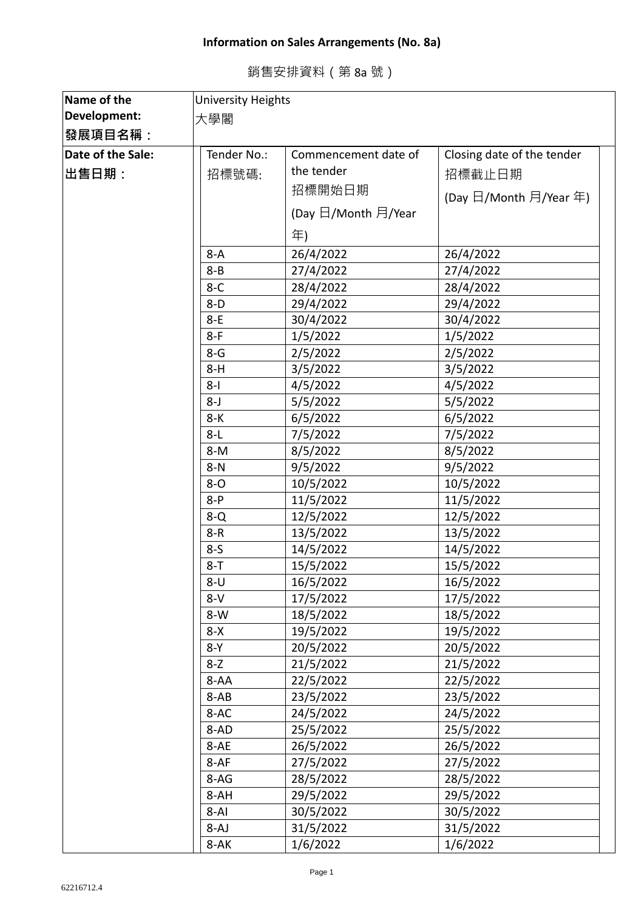## **Information on Sales Arrangements (No. 8a)**

|  | 銷售安排資料(第8a號) |  |  |  |  |  |
|--|--------------|--|--|--|--|--|
|--|--------------|--|--|--|--|--|

| Name of the       | <b>University Heights</b> |                      |                            |  |
|-------------------|---------------------------|----------------------|----------------------------|--|
| Development:      | 大學閣                       |                      |                            |  |
| <b>│發展項目名稱:</b>   |                           |                      |                            |  |
| Date of the Sale: | Tender No.:               | Commencement date of | Closing date of the tender |  |
| ∣出售日期:            | 招標號碼:                     | the tender           | 招標截止日期                     |  |
|                   |                           | 招標開始日期               |                            |  |
|                   |                           |                      | (Day 日/Month 月/Year 年)     |  |
|                   |                           | (Day 日/Month 月/Year  |                            |  |
|                   |                           | 年)                   |                            |  |
|                   | $8-A$                     | 26/4/2022            | 26/4/2022                  |  |
|                   | $8 - B$                   | 27/4/2022            | 27/4/2022                  |  |
|                   | $8-C$                     | 28/4/2022            | 28/4/2022                  |  |
|                   | $8-D$                     | 29/4/2022            | 29/4/2022                  |  |
|                   | $8-E$                     | 30/4/2022            | 30/4/2022                  |  |
|                   | $8-F$                     | 1/5/2022             | 1/5/2022                   |  |
|                   | $8-G$                     | 2/5/2022             | 2/5/2022                   |  |
|                   | $8-H$                     | 3/5/2022             | 3/5/2022                   |  |
|                   | $8-I$                     | 4/5/2022             | 4/5/2022                   |  |
|                   | $8 - J$                   | 5/5/2022             | 5/5/2022                   |  |
|                   | $8-K$                     | 6/5/2022             | 6/5/2022                   |  |
|                   | $8-L$                     | 7/5/2022             | 7/5/2022                   |  |
|                   | $8-M$                     | 8/5/2022             | 8/5/2022                   |  |
|                   | $8-N$                     | 9/5/2022             | 9/5/2022                   |  |
|                   | $8 - O$                   | 10/5/2022            | 10/5/2022                  |  |
|                   | $8-P$                     | 11/5/2022            | 11/5/2022                  |  |
|                   | $8 - Q$                   | 12/5/2022            | 12/5/2022                  |  |
|                   | $8 - R$                   | 13/5/2022            | 13/5/2022                  |  |
|                   | $8-5$                     | 14/5/2022            | 14/5/2022                  |  |
|                   | $8 - T$                   | 15/5/2022            | 15/5/2022                  |  |
|                   | $8 - U$                   | 16/5/2022            | 16/5/2022                  |  |
|                   | $8-V$                     | 17/5/2022            | 17/5/2022                  |  |
|                   | $8-W$                     | 18/5/2022            | 18/5/2022                  |  |
|                   | $8-X$                     | 19/5/2022            | 19/5/2022                  |  |
|                   | $8-Y$                     | 20/5/2022            | 20/5/2022                  |  |
|                   | $8 - Z$                   | 21/5/2022            | 21/5/2022                  |  |
|                   | 8-AA                      | 22/5/2022            | 22/5/2022                  |  |
|                   | 8-AB                      | 23/5/2022            | 23/5/2022                  |  |
|                   | 8-AC                      | 24/5/2022            | 24/5/2022                  |  |
|                   | 8-AD                      | 25/5/2022            | 25/5/2022                  |  |
|                   | 8-AE                      | 26/5/2022            | 26/5/2022                  |  |
|                   | 8-AF                      | 27/5/2022            | 27/5/2022                  |  |
|                   | 8-AG                      | 28/5/2022            | 28/5/2022                  |  |
|                   | 8-AH                      | 29/5/2022            | 29/5/2022                  |  |
|                   | $8 - AI$                  | 30/5/2022            | 30/5/2022                  |  |
|                   | 8-AJ                      | 31/5/2022            | 31/5/2022                  |  |
|                   | 8-AK                      | 1/6/2022             | 1/6/2022                   |  |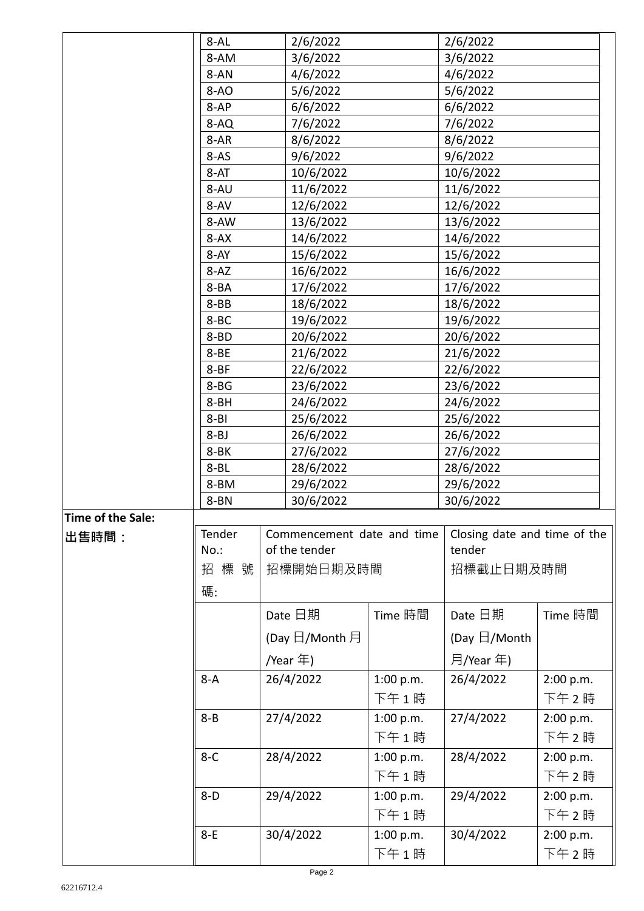|                   | $8 - AL$         | 2/6/2022                   |           | 2/6/2022                     |           |
|-------------------|------------------|----------------------------|-----------|------------------------------|-----------|
|                   | 8-AM             | 3/6/2022                   |           | 3/6/2022                     |           |
|                   | 8-AN             | 4/6/2022                   |           | 4/6/2022                     |           |
|                   | $8-AO$           | 5/6/2022                   |           | 5/6/2022                     |           |
|                   | 8-AP             | 6/6/2022                   |           | 6/6/2022                     |           |
|                   | 8-AQ             | 7/6/2022                   |           | 7/6/2022                     |           |
|                   | 8-AR             | 8/6/2022                   |           | 8/6/2022                     |           |
|                   | $8-AS$           | 9/6/2022                   |           | 9/6/2022                     |           |
|                   | 8-AT             | 10/6/2022                  |           | 10/6/2022                    |           |
|                   | 8-AU             | 11/6/2022                  |           | 11/6/2022                    |           |
|                   | 8-AV             | 12/6/2022                  |           | 12/6/2022                    |           |
|                   | 8-AW             | 13/6/2022                  |           | 13/6/2022                    |           |
|                   | $8 - AX$         | 14/6/2022                  |           | 14/6/2022                    |           |
|                   |                  |                            |           |                              |           |
|                   | 8-AY<br>$8 - AZ$ | 15/6/2022<br>16/6/2022     |           | 15/6/2022                    |           |
|                   |                  |                            |           | 16/6/2022                    |           |
|                   | 8-BA<br>$8 - BB$ | 17/6/2022                  |           | 17/6/2022<br>18/6/2022       |           |
|                   | 8-BC             | 18/6/2022                  |           | 19/6/2022                    |           |
|                   | 8-BD             | 19/6/2022<br>20/6/2022     |           | 20/6/2022                    |           |
|                   | 8-BE             | 21/6/2022                  |           | 21/6/2022                    |           |
|                   | $8 - BF$         | 22/6/2022                  |           | 22/6/2022                    |           |
|                   | $8 - BG$         | 23/6/2022                  |           | 23/6/2022                    |           |
|                   | 8-BH             | 24/6/2022                  |           | 24/6/2022                    |           |
|                   | $8 - B1$         | 25/6/2022                  |           | 25/6/2022                    |           |
|                   | $8 - BJ$         | 26/6/2022                  |           | 26/6/2022                    |           |
|                   | 8-BK             | 27/6/2022                  |           | 27/6/2022                    |           |
|                   | $8 - BL$         | 28/6/2022                  |           | 28/6/2022                    |           |
|                   | 8-BM             | 29/6/2022                  |           | 29/6/2022                    |           |
|                   | 8-BN             | 30/6/2022                  |           | 30/6/2022                    |           |
| Time of the Sale: |                  |                            |           |                              |           |
| ∣出售時間:            | Tender           | Commencement date and time |           | Closing date and time of the |           |
|                   | $No.$ :          | of the tender              |           | tender                       |           |
|                   | 招標號              | 招標開始日期及時間                  |           | 招標截止日期及時間                    |           |
|                   |                  |                            |           |                              |           |
|                   | 碼:               |                            |           |                              |           |
|                   |                  | Date 日期                    | Time 時間   | Date 日期                      | Time 時間   |
|                   |                  | (Day 日/Month 月             |           | (Day $\boxdot$ /Month        |           |
|                   |                  | /Year 年)                   |           | 月/Year 年)                    |           |
|                   | $8-A$            | 26/4/2022                  | 1:00 p.m. | 26/4/2022                    | 2:00 p.m. |
|                   |                  |                            | 下午1時      |                              | 下午2時      |
|                   | $8 - B$          | 27/4/2022                  | 1:00 p.m. | 27/4/2022                    | 2:00 p.m. |
|                   |                  |                            | 下午1時      |                              | 下午2時      |
|                   |                  |                            |           |                              |           |
|                   | $8-C$            | 28/4/2022                  | 1:00 p.m. | 28/4/2022                    | 2:00 p.m. |
|                   |                  |                            | 下午1時      |                              | 下午2時      |
|                   | $8-D$            | 29/4/2022                  | 1:00 p.m. | 29/4/2022                    | 2:00 p.m. |
|                   |                  |                            | 下午1時      |                              | 下午2時      |
|                   | $8-E$            | 30/4/2022                  | 1:00 p.m. | 30/4/2022                    | 2:00 p.m. |
|                   |                  |                            | 下午1時      |                              | 下午2時      |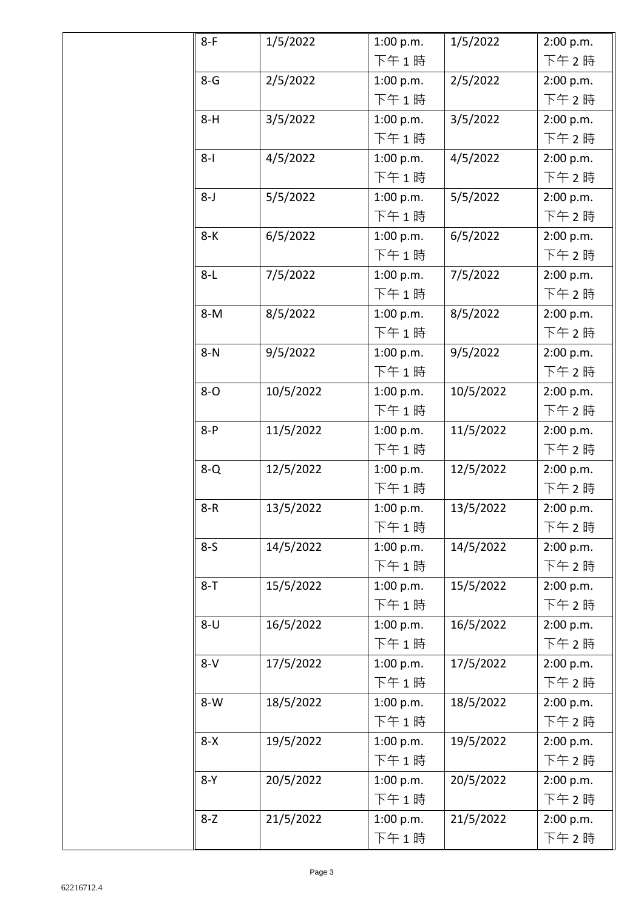| $8-F$   | 1/5/2022  | 1:00 p.m. | 1/5/2022  | 2:00 p.m. |
|---------|-----------|-----------|-----------|-----------|
|         |           | 下午1時      |           | 下午 2時     |
| $8 - G$ | 2/5/2022  | 1:00 p.m. | 2/5/2022  | 2:00 p.m. |
|         |           | 下午1時      |           | 下午 2時     |
| $8-H$   | 3/5/2022  | 1:00 p.m. | 3/5/2022  | 2:00 p.m. |
|         |           | 下午1時      |           | 下午 2時     |
| $8 - 1$ | 4/5/2022  | 1:00 p.m. | 4/5/2022  | 2:00 p.m. |
|         |           | 下午1時      |           | 下午2時      |
| $8 - J$ | 5/5/2022  | 1:00 p.m. | 5/5/2022  | 2:00 p.m. |
|         |           | 下午1時      |           | 下午2時      |
| $8-K$   | 6/5/2022  | 1:00 p.m. | 6/5/2022  | 2:00 p.m. |
|         |           | 下午1時      |           | 下午2時      |
| $8-L$   | 7/5/2022  | 1:00 p.m. | 7/5/2022  | 2:00 p.m. |
|         |           | 下午1時      |           | 下午2時      |
| $8-M$   | 8/5/2022  | 1:00 p.m. | 8/5/2022  | 2:00 p.m. |
|         |           | 下午1時      |           | 下午 2 時    |
| $8-N$   | 9/5/2022  | 1:00 p.m. | 9/5/2022  | 2:00 p.m. |
|         |           | 下午1時      |           | 下午 2 時    |
| $8 - O$ | 10/5/2022 | 1:00 p.m. | 10/5/2022 | 2:00 p.m. |
|         |           | 下午1時      |           | 下午 2時     |
| $8-P$   | 11/5/2022 | 1:00 p.m. | 11/5/2022 | 2:00 p.m. |
|         |           | 下午1時      |           | 下午 2時     |
| $8-Q$   | 12/5/2022 | 1:00 p.m. | 12/5/2022 | 2:00 p.m. |
|         |           | 下午1時      |           | 下午 2時     |
| $8 - R$ | 13/5/2022 | 1:00 p.m. | 13/5/2022 | 2:00 p.m. |
|         |           | 下午 1 時    |           | 下午 2時     |
| $8-5$   | 14/5/2022 | 1:00 p.m. | 14/5/2022 | 2:00 p.m. |
|         |           | 下午1時      |           | 下午2時      |
| $8 - T$ | 15/5/2022 | 1:00 p.m. | 15/5/2022 | 2:00 p.m. |
|         |           | 下午1時      |           | 下午2時      |
| $8 - U$ | 16/5/2022 | 1:00 p.m. | 16/5/2022 | 2:00 p.m. |
|         |           | 下午1時      |           | 下午2時      |
| $8-V$   | 17/5/2022 | 1:00 p.m. | 17/5/2022 | 2:00 p.m. |
|         |           | 下午1時      |           | 下午 2時     |
| $8-W$   | 18/5/2022 | 1:00 p.m. | 18/5/2022 | 2:00 p.m. |
|         |           | 下午1時      |           | 下午 2時     |
| $8-X$   | 19/5/2022 | 1:00 p.m. | 19/5/2022 | 2:00 p.m. |
|         |           | 下午1時      |           | 下午2時      |
| $8-Y$   | 20/5/2022 | 1:00 p.m. | 20/5/2022 | 2:00 p.m. |
|         |           | 下午1時      |           | 下午 2時     |
| $8-Z$   | 21/5/2022 | 1:00 p.m. | 21/5/2022 | 2:00 p.m. |
|         |           | 下午1時      |           | 下午2時      |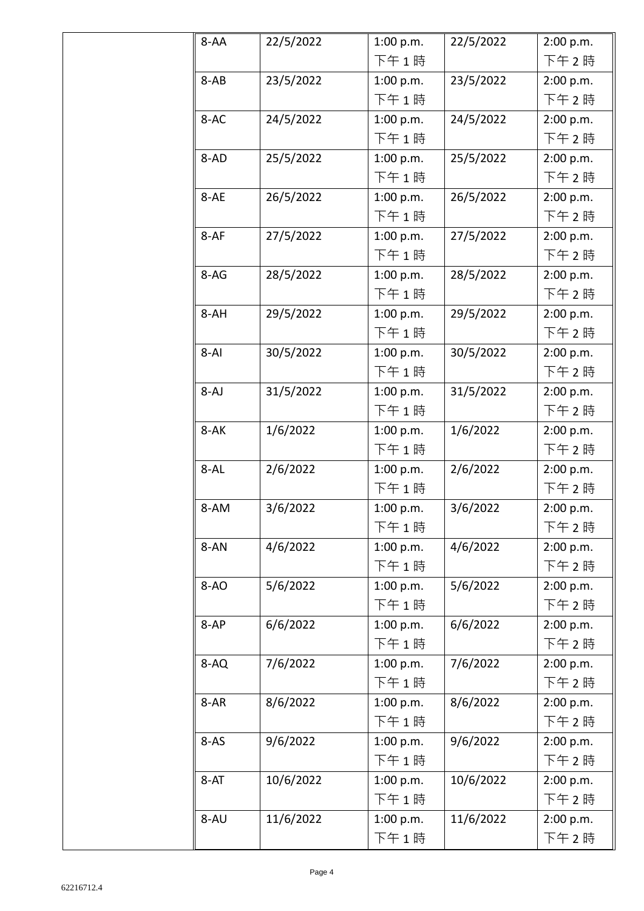| 8-AA     | 22/5/2022 | 1:00 p.m. | 22/5/2022 | 2:00 p.m. |
|----------|-----------|-----------|-----------|-----------|
|          |           | 下午1時      |           | 下午2時      |
| $8-AB$   | 23/5/2022 | 1:00 p.m. | 23/5/2022 | 2:00 p.m. |
|          |           | 下午1時      |           | 下午2時      |
| 8-AC     | 24/5/2022 | 1:00 p.m. | 24/5/2022 | 2:00 p.m. |
|          |           | 下午1時      |           | 下午2時      |
| 8-AD     | 25/5/2022 | 1:00 p.m. | 25/5/2022 | 2:00 p.m. |
|          |           | 下午1時      |           | 下午 2時     |
| 8-AE     | 26/5/2022 | 1:00 p.m. | 26/5/2022 | 2:00 p.m. |
|          |           | 下午1時      |           | 下午2時      |
| $8-AF$   | 27/5/2022 | 1:00 p.m. | 27/5/2022 | 2:00 p.m. |
|          |           | 下午1時      |           | 下午2時      |
| $8-AG$   | 28/5/2022 | 1:00 p.m. | 28/5/2022 | 2:00 p.m. |
|          |           | 下午1時      |           | 下午2時      |
| 8-AH     | 29/5/2022 | 1:00 p.m. | 29/5/2022 | 2:00 p.m. |
|          |           | 下午1時      |           | 下午 2時     |
| $8 - AI$ | 30/5/2022 | 1:00 p.m. | 30/5/2022 | 2:00 p.m. |
|          |           | 下午1時      |           | 下午 2時     |
| $8-AJ$   | 31/5/2022 | 1:00 p.m. | 31/5/2022 | 2:00 p.m. |
|          |           | 下午1時      |           | 下午 2時     |
| 8-AK     | 1/6/2022  | 1:00 p.m. | 1/6/2022  | 2:00 p.m. |
|          |           | 下午1時      |           | 下午 2時     |
| 8-AL     | 2/6/2022  | 1:00 p.m. | 2/6/2022  | 2:00 p.m. |
|          |           | 下午1時      |           | 下午 2時     |
| 8-AM     | 3/6/2022  | 1:00 p.m. | 3/6/2022  | 2:00 p.m. |
|          |           | 下午1時      |           | 下午 2 時    |
| 8-AN     | 4/6/2022  | 1:00 p.m. | 4/6/2022  | 2:00 p.m. |
|          |           | 下午1時      |           | 下午 2時     |
| $8-AO$   | 5/6/2022  | 1:00 p.m. | 5/6/2022  | 2:00 p.m. |
|          |           | 下午1時      |           | 下午 2時     |
| $8-AP$   | 6/6/2022  | 1:00 p.m. | 6/6/2022  | 2:00 p.m. |
|          |           | 下午1時      |           | 下午 2時     |
| 8-AQ     | 7/6/2022  | 1:00 p.m. | 7/6/2022  | 2:00 p.m. |
|          |           | 下午1時      |           | 下午 2時     |
| 8-AR     | 8/6/2022  | 1:00 p.m. | 8/6/2022  | 2:00 p.m. |
|          |           | 下午1時      |           | 下午 2時     |
| $8-AS$   | 9/6/2022  | 1:00 p.m. | 9/6/2022  | 2:00 p.m. |
|          |           | 下午1時      |           | 下午 2時     |
| $8 - AT$ | 10/6/2022 | 1:00 p.m. | 10/6/2022 | 2:00 p.m. |
|          |           | 下午1時      |           | 下午 2時     |
| 8-AU     | 11/6/2022 | 1:00 p.m. | 11/6/2022 | 2:00 p.m. |
|          |           | 下午1時      |           | 下午2時      |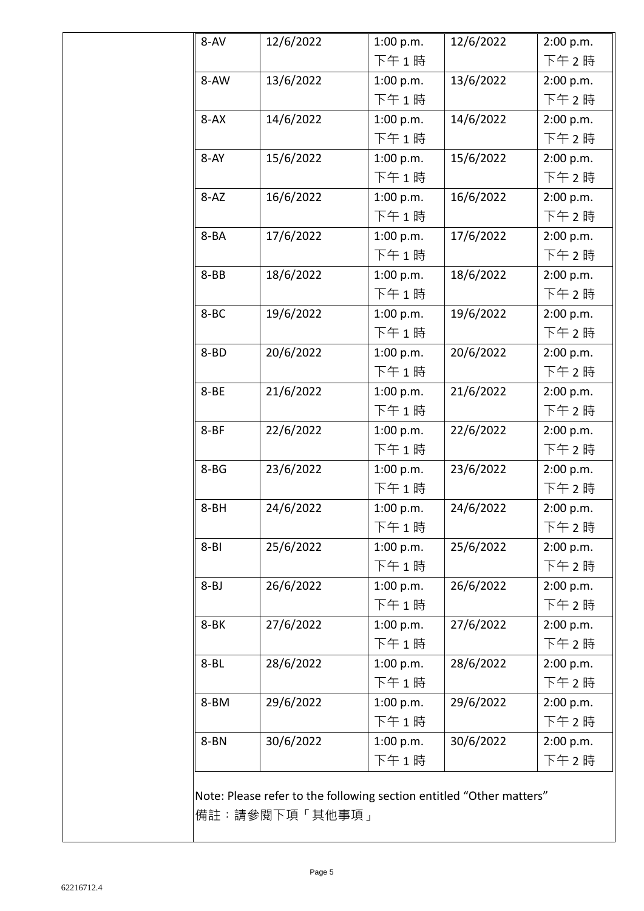| 8-AV      | 12/6/2022 | 1:00 p.m. | 12/6/2022 | 2:00 p.m. |
|-----------|-----------|-----------|-----------|-----------|
|           |           | 下午1時      |           | 下午2時      |
| 8-AW      | 13/6/2022 | 1:00 p.m. | 13/6/2022 | 2:00 p.m. |
|           |           | 下午1時      |           | 下午2時      |
| $8 - AX$  | 14/6/2022 | 1:00 p.m. | 14/6/2022 | 2:00 p.m. |
|           |           | 下午1時      |           | 下午2時      |
| $8 - AY$  | 15/6/2022 | 1:00 p.m. | 15/6/2022 | 2:00 p.m. |
|           |           | 下午1時      |           | 下午2時      |
| $8 - AZ$  | 16/6/2022 | 1:00 p.m. | 16/6/2022 | 2:00 p.m. |
|           |           | 下午1時      |           | 下午2時      |
| 8-BA      | 17/6/2022 | 1:00 p.m. | 17/6/2022 | 2:00 p.m. |
|           |           | 下午1時      |           | 下午2時      |
| $8 - BB$  | 18/6/2022 | 1:00 p.m. | 18/6/2022 | 2:00 p.m. |
|           |           | 下午1時      |           | 下午2時      |
| 8-BC      | 19/6/2022 | 1:00 p.m. | 19/6/2022 | 2:00 p.m. |
|           |           | 下午1時      |           | 下午2時      |
| 8-BD      | 20/6/2022 | 1:00 p.m. | 20/6/2022 | 2:00 p.m. |
|           |           | 下午1時      |           | 下午2時      |
| $8 - BE$  | 21/6/2022 | 1:00 p.m. | 21/6/2022 | 2:00 p.m. |
|           |           | 下午1時      |           | 下午2時      |
| $8 - B$ F | 22/6/2022 | 1:00 p.m. | 22/6/2022 | 2:00 p.m. |
|           |           | 下午1時      |           | 下午2時      |
| $8 - BG$  | 23/6/2022 | 1:00 p.m. | 23/6/2022 | 2:00 p.m. |
|           |           | 下午1時      |           | 下午2時      |
| $8 - BH$  | 24/6/2022 | 1:00 p.m. | 24/6/2022 | 2:00 p.m. |
|           |           | 下午1時      |           | 下午 2 時    |
| $8 - B1$  | 25/6/2022 | 1:00 p.m. | 25/6/2022 | 2:00 p.m. |
|           |           | 下午1時      |           | 下午 2 時    |
| $8 - BJ$  | 26/6/2022 | 1:00 p.m. | 26/6/2022 | 2:00 p.m. |
|           |           | 下午1時      |           | 下午2時      |
| 8-BK      | 27/6/2022 | 1:00 p.m. | 27/6/2022 | 2:00 p.m. |
|           |           | 下午1時      |           | 下午2時      |
| $8 - BL$  | 28/6/2022 | 1:00 p.m. | 28/6/2022 | 2:00 p.m. |
|           |           | 下午1時      |           | 下午 2時     |
| 8-BM      | 29/6/2022 | 1:00 p.m. | 29/6/2022 | 2:00 p.m. |
|           |           | 下午1時      |           | 下午 2時     |
| 8-BN      | 30/6/2022 | 1:00 p.m. | 30/6/2022 | 2:00 p.m. |
|           |           | 下午1時      |           | 下午2時      |

備註︰請參閱下項「其他事項」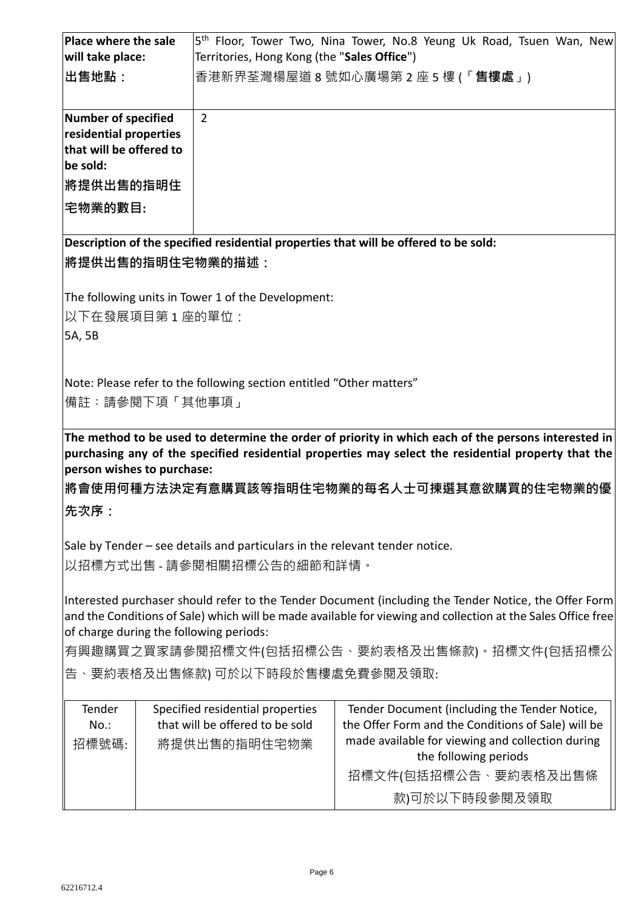| Place where the sale                         |  |                                                                             | 5 <sup>th</sup> Floor, Tower Two, Nina Tower, No.8 Yeung Uk Road, Tsuen Wan, New                                                                                                                           |  |  |
|----------------------------------------------|--|-----------------------------------------------------------------------------|------------------------------------------------------------------------------------------------------------------------------------------------------------------------------------------------------------|--|--|
| will take place:                             |  | Territories, Hong Kong (the "Sales Office")                                 |                                                                                                                                                                                                            |  |  |
| ∣出售地點:                                       |  |                                                                             | 香港新界荃灣楊屋道 8 號如心廣場第 2 座 5 樓 (「 <b>售樓處</b> 」)                                                                                                                                                                |  |  |
| Number of specified                          |  | $\overline{2}$                                                              |                                                                                                                                                                                                            |  |  |
| residential properties                       |  |                                                                             |                                                                                                                                                                                                            |  |  |
| that will be offered to                      |  |                                                                             |                                                                                                                                                                                                            |  |  |
| be sold:                                     |  |                                                                             |                                                                                                                                                                                                            |  |  |
| <b> 將提供出售的指明住</b>                            |  |                                                                             |                                                                                                                                                                                                            |  |  |
| 宅物業的數目:                                      |  |                                                                             |                                                                                                                                                                                                            |  |  |
|                                              |  |                                                                             | Description of the specified residential properties that will be offered to be sold:                                                                                                                       |  |  |
|                                              |  | <b> 將提供出售的指明住宅物業的描述:</b>                                                    |                                                                                                                                                                                                            |  |  |
|                                              |  | The following units in Tower 1 of the Development:                          |                                                                                                                                                                                                            |  |  |
| 以下在發展項目第1座的單位:                               |  |                                                                             |                                                                                                                                                                                                            |  |  |
| 5A, 5B                                       |  |                                                                             |                                                                                                                                                                                                            |  |  |
|                                              |  |                                                                             |                                                                                                                                                                                                            |  |  |
|                                              |  | Note: Please refer to the following section entitled "Other matters"        |                                                                                                                                                                                                            |  |  |
| 備註:請參閱下項「其他事項」                               |  |                                                                             |                                                                                                                                                                                                            |  |  |
|                                              |  |                                                                             |                                                                                                                                                                                                            |  |  |
|                                              |  |                                                                             | The method to be used to determine the order of priority in which each of the persons interested in<br>purchasing any of the specified residential properties may select the residential property that the |  |  |
| person wishes to purchase:                   |  |                                                                             |                                                                                                                                                                                                            |  |  |
|                                              |  |                                                                             | 將會使用何種方法決定有意購買該等指明住宅物業的每名人士可揀選其意欲購買的住宅物業的優                                                                                                                                                                 |  |  |
| 先次序:                                         |  |                                                                             |                                                                                                                                                                                                            |  |  |
|                                              |  |                                                                             |                                                                                                                                                                                                            |  |  |
|                                              |  | Sale by Tender – see details and particulars in the relevant tender notice. |                                                                                                                                                                                                            |  |  |
|                                              |  | 以招標方式出售 - 請參閱相關招標公告的細節和詳情。                                                  |                                                                                                                                                                                                            |  |  |
|                                              |  |                                                                             |                                                                                                                                                                                                            |  |  |
|                                              |  |                                                                             | Interested purchaser should refer to the Tender Document (including the Tender Notice, the Offer Form                                                                                                      |  |  |
|                                              |  |                                                                             | and the Conditions of Sale) which will be made available for viewing and collection at the Sales Office free                                                                                               |  |  |
|                                              |  | of charge during the following periods:                                     |                                                                                                                                                                                                            |  |  |
| 有興趣購買之買家請參閱招標文件(包括招標公告、要約表格及出售條款)。招標文件(包括招標公 |  |                                                                             |                                                                                                                                                                                                            |  |  |
| 告、要約表格及出售條款) 可於以下時段於售樓處免費參閱及領取:              |  |                                                                             |                                                                                                                                                                                                            |  |  |
| Tender                                       |  | Specified residential properties                                            | Tender Document (including the Tender Notice,                                                                                                                                                              |  |  |
| $No.$ :                                      |  | that will be offered to be sold                                             | the Offer Form and the Conditions of Sale) will be                                                                                                                                                         |  |  |
| 招標號碼:                                        |  | 將提供出售的指明住宅物業                                                                | made available for viewing and collection during                                                                                                                                                           |  |  |
|                                              |  |                                                                             | the following periods                                                                                                                                                                                      |  |  |
|                                              |  |                                                                             | 招標文件(包括招標公告、要約表格及出售條                                                                                                                                                                                       |  |  |
|                                              |  |                                                                             | 款)可於以下時段參閱及領取                                                                                                                                                                                              |  |  |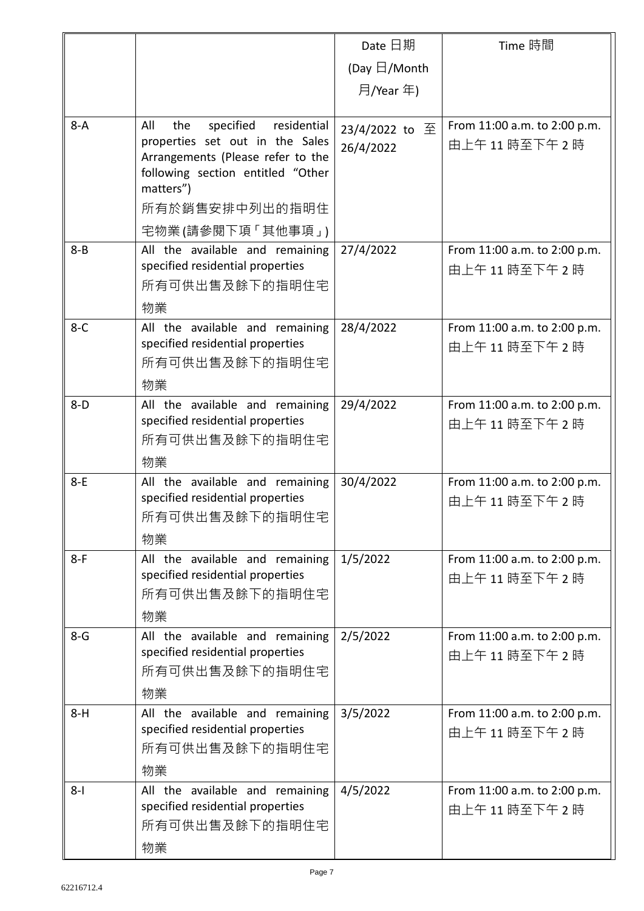|         |                                                                                                                                                                                                        | Date 日期                     | Time 時間                                     |
|---------|--------------------------------------------------------------------------------------------------------------------------------------------------------------------------------------------------------|-----------------------------|---------------------------------------------|
|         |                                                                                                                                                                                                        | (Day $\boxdot$ /Month       |                                             |
|         |                                                                                                                                                                                                        | 月/Year 年)                   |                                             |
|         |                                                                                                                                                                                                        |                             |                                             |
| $8-A$   | All<br>specified<br>residential<br>the<br>properties set out in the Sales<br>Arrangements (Please refer to the<br>following section entitled "Other<br>matters")<br>所有於銷售安排中列出的指明住<br>宅物業(請參閱下項「其他事項」) | 23/4/2022 to 至<br>26/4/2022 | From 11:00 a.m. to 2:00 p.m.<br>由上午11時至下午2時 |
| $8 - B$ | All the available and remaining                                                                                                                                                                        | 27/4/2022                   | From 11:00 a.m. to 2:00 p.m.                |
|         | specified residential properties<br>所有可供出售及餘下的指明住宅<br>物業                                                                                                                                               |                             | 由上午11時至下午2時                                 |
| $8-C$   | All the available and remaining<br>specified residential properties<br>所有可供出售及餘下的指明住宅<br>物業                                                                                                            | 28/4/2022                   | From 11:00 a.m. to 2:00 p.m.<br>由上午11時至下午2時 |
| $8-D$   | All the available and remaining<br>specified residential properties<br>所有可供出售及餘下的指明住宅<br>物業                                                                                                            | 29/4/2022                   | From 11:00 a.m. to 2:00 p.m.<br>由上午11時至下午2時 |
| $8-E$   | All the available and remaining<br>specified residential properties<br>所有可供出售及餘下的指明住宅<br>物業                                                                                                            | 30/4/2022                   | From 11:00 a.m. to 2:00 p.m.<br>由上午11時至下午2時 |
| $8-F$   | All the available and remaining<br>specified residential properties<br>所有可供出售及餘下的指明住宅<br>物業                                                                                                            | 1/5/2022                    | From 11:00 a.m. to 2:00 p.m.<br>由上午11時至下午2時 |
| $8-G$   | All the available and remaining<br>specified residential properties<br>所有可供出售及餘下的指明住宅<br>物業                                                                                                            | 2/5/2022                    | From 11:00 a.m. to 2:00 p.m.<br>由上午11時至下午2時 |
| $8-H$   | All the available and remaining<br>specified residential properties<br>所有可供出售及餘下的指明住宅<br>物業                                                                                                            | 3/5/2022                    | From 11:00 a.m. to 2:00 p.m.<br>由上午11時至下午2時 |
| $8 - 1$ | All the available and remaining<br>specified residential properties<br>所有可供出售及餘下的指明住宅<br>物業                                                                                                            | 4/5/2022                    | From 11:00 a.m. to 2:00 p.m.<br>由上午11時至下午2時 |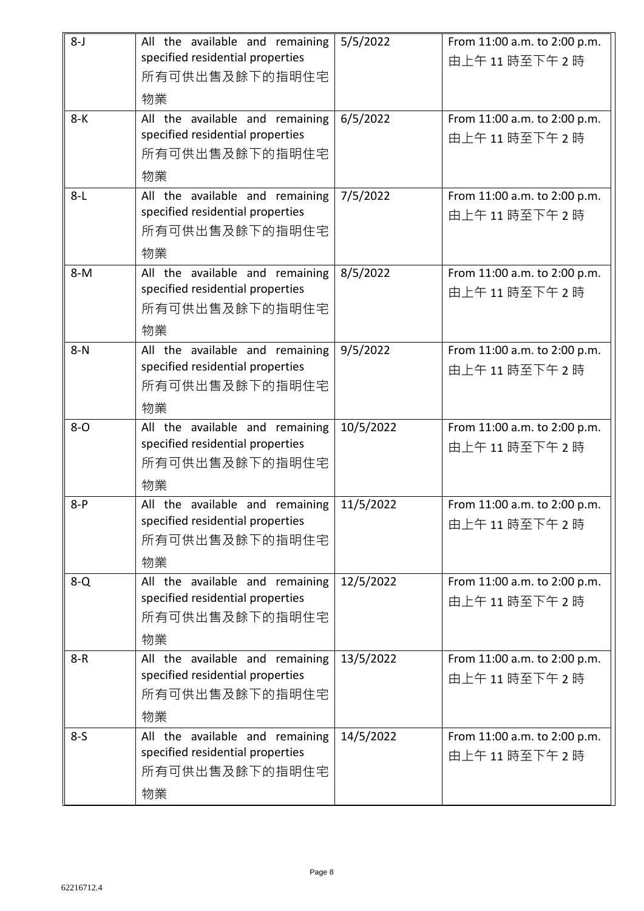| $8 - J$ | All the available and remaining<br>specified residential properties<br>所有可供出售及餘下的指明住宅       | 5/5/2022  | From 11:00 a.m. to 2:00 p.m.<br>由上午11時至下午2時 |
|---------|---------------------------------------------------------------------------------------------|-----------|---------------------------------------------|
| $8-K$   | 物業<br>All the available and remaining<br>specified residential properties                   | 6/5/2022  | From 11:00 a.m. to 2:00 p.m.<br>由上午11時至下午2時 |
|         | 所有可供出售及餘下的指明住宅<br>物業                                                                        |           |                                             |
| $8-L$   | All the available and remaining<br>specified residential properties<br>所有可供出售及餘下的指明住宅<br>物業 | 7/5/2022  | From 11:00 a.m. to 2:00 p.m.<br>由上午11時至下午2時 |
| $8-M$   | All the available and remaining<br>specified residential properties<br>所有可供出售及餘下的指明住宅<br>物業 | 8/5/2022  | From 11:00 a.m. to 2:00 p.m.<br>由上午11時至下午2時 |
| $8-N$   | All the available and remaining<br>specified residential properties<br>所有可供出售及餘下的指明住宅<br>物業 | 9/5/2022  | From 11:00 a.m. to 2:00 p.m.<br>由上午11時至下午2時 |
| $8 - O$ | All the available and remaining<br>specified residential properties<br>所有可供出售及餘下的指明住宅<br>物業 | 10/5/2022 | From 11:00 a.m. to 2:00 p.m.<br>由上午11時至下午2時 |
| $8-P$   | All the available and remaining<br>specified residential properties<br>所有可供出售及餘下的指明住宅<br>物業 | 11/5/2022 | From 11:00 a.m. to 2:00 p.m.<br>由上午11時至下午2時 |
| $8 - Q$ | All the available and remaining<br>specified residential properties<br>所有可供出售及餘下的指明住宅<br>物業 | 12/5/2022 | From 11:00 a.m. to 2:00 p.m.<br>由上午11時至下午2時 |
| $8 - R$ | All the available and remaining<br>specified residential properties<br>所有可供出售及餘下的指明住宅<br>物業 | 13/5/2022 | From 11:00 a.m. to 2:00 p.m.<br>由上午11時至下午2時 |
| $8-5$   | All the available and remaining<br>specified residential properties<br>所有可供出售及餘下的指明住宅<br>物業 | 14/5/2022 | From 11:00 a.m. to 2:00 p.m.<br>由上午11時至下午2時 |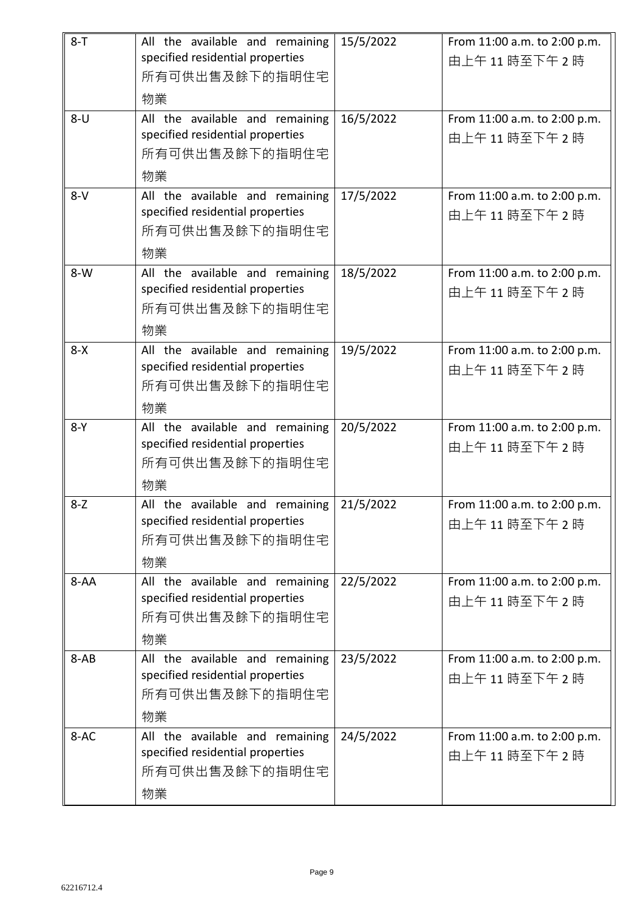| $8 - T$  | All the available and remaining                                     | 15/5/2022 | From 11:00 a.m. to 2:00 p.m.                |
|----------|---------------------------------------------------------------------|-----------|---------------------------------------------|
|          | specified residential properties                                    |           | 由上午11時至下午2時                                 |
|          | 所有可供出售及餘下的指明住宅                                                      |           |                                             |
|          | 物業                                                                  |           |                                             |
| $8 - U$  | All the available and remaining<br>specified residential properties | 16/5/2022 | From 11:00 a.m. to 2:00 p.m.                |
|          | 所有可供出售及餘下的指明住宅                                                      |           | 由上午11時至下午2時                                 |
|          | 物業                                                                  |           |                                             |
| $8-V$    | All the available and remaining                                     | 17/5/2022 | From 11:00 a.m. to 2:00 p.m.                |
|          | specified residential properties                                    |           | 由上午11時至下午2時                                 |
|          | 所有可供出售及餘下的指明住宅                                                      |           |                                             |
|          | 物業                                                                  |           |                                             |
| $8-W$    | All the available and remaining                                     | 18/5/2022 | From 11:00 a.m. to 2:00 p.m.                |
|          | specified residential properties                                    |           | 由上午11時至下午2時                                 |
|          | 所有可供出售及餘下的指明住宅                                                      |           |                                             |
|          | 物業                                                                  |           |                                             |
| $8 - X$  | All the available and remaining                                     | 19/5/2022 | From 11:00 a.m. to 2:00 p.m.                |
|          | specified residential properties<br>所有可供出售及餘下的指明住宅                  |           | 由上午11時至下午2時                                 |
|          |                                                                     |           |                                             |
| $8-Y$    | 物業                                                                  |           |                                             |
|          | All the available and remaining<br>specified residential properties | 20/5/2022 | From 11:00 a.m. to 2:00 p.m.<br>由上午11時至下午2時 |
|          | 所有可供出售及餘下的指明住宅                                                      |           |                                             |
|          | 物業                                                                  |           |                                             |
| $8 - Z$  | All the available and remaining                                     | 21/5/2022 | From 11:00 a.m. to 2:00 p.m.                |
|          | specified residential properties                                    |           | 由上午11時至下午2時                                 |
|          | 所有可供出售及餘下的指明住宅                                                      |           |                                             |
|          | 物業                                                                  |           |                                             |
| $8 - AA$ | All the available and remaining                                     | 22/5/2022 | From 11:00 a.m. to 2:00 p.m.                |
|          | specified residential properties                                    |           | 由上午11時至下午2時                                 |
|          | 所有可供出售及餘下的指明住宅                                                      |           |                                             |
|          | 物業                                                                  |           |                                             |
| $8-AB$   | All the available and remaining<br>specified residential properties | 23/5/2022 | From 11:00 a.m. to 2:00 p.m.                |
|          | 所有可供出售及餘下的指明住宅                                                      |           | 由上午11時至下午2時                                 |
|          | 物業                                                                  |           |                                             |
| 8-AC     | All the available and remaining                                     | 24/5/2022 | From 11:00 a.m. to 2:00 p.m.                |
|          | specified residential properties                                    |           | 由上午11時至下午2時                                 |
|          | 所有可供出售及餘下的指明住宅                                                      |           |                                             |
|          | 物業                                                                  |           |                                             |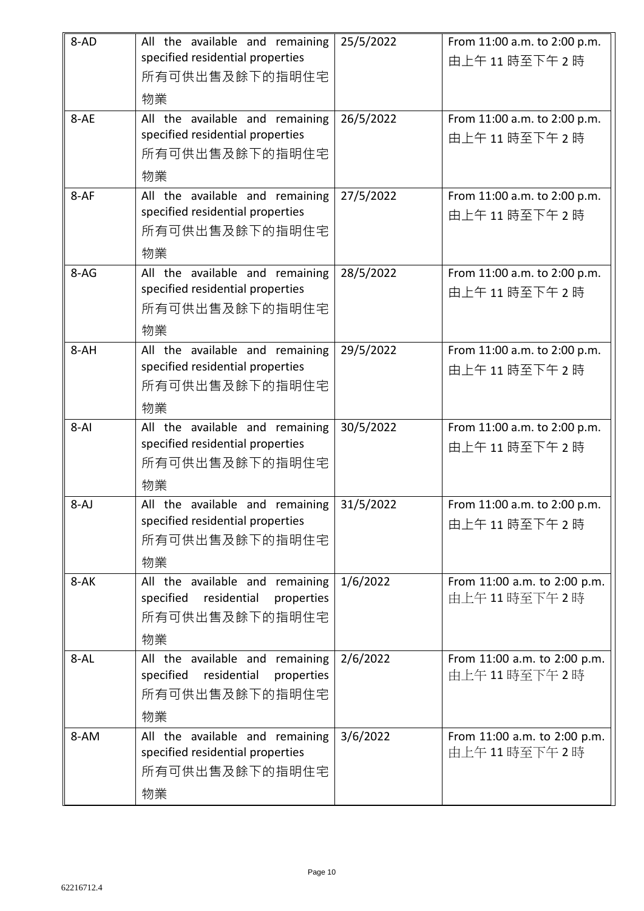| 8-AD     | All the available and remaining<br>specified residential properties                               | 25/5/2022 | From 11:00 a.m. to 2:00 p.m.<br>由上午11時至下午2時 |
|----------|---------------------------------------------------------------------------------------------------|-----------|---------------------------------------------|
|          | 所有可供出售及餘下的指明住宅<br>物業                                                                              |           |                                             |
| 8-AE     | All the available and remaining<br>specified residential properties<br>所有可供出售及餘下的指明住宅<br>物業       | 26/5/2022 | From 11:00 a.m. to 2:00 p.m.<br>由上午11時至下午2時 |
| 8-AF     | All the available and remaining<br>specified residential properties<br>所有可供出售及餘下的指明住宅<br>物業       | 27/5/2022 | From 11:00 a.m. to 2:00 p.m.<br>由上午11時至下午2時 |
| $8-AG$   | All the available and remaining<br>specified residential properties<br>所有可供出售及餘下的指明住宅<br>物業       | 28/5/2022 | From 11:00 a.m. to 2:00 p.m.<br>由上午11時至下午2時 |
| 8-AH     | All the available and remaining<br>specified residential properties<br>所有可供出售及餘下的指明住宅<br>物業       | 29/5/2022 | From 11:00 a.m. to 2:00 p.m.<br>由上午11時至下午2時 |
| $8 - AI$ | All the available and remaining<br>specified residential properties<br>所有可供出售及餘下的指明住宅<br>物業       | 30/5/2022 | From 11:00 a.m. to 2:00 p.m.<br>由上午11時至下午2時 |
| $8-AJ$   | All the available and remaining<br>specified residential properties<br>所有可供出售及餘下的指明住宅<br>物業       | 31/5/2022 | From 11:00 a.m. to 2:00 p.m.<br>由上午11時至下午2時 |
| 8-AK     | All the available and remaining<br>specified<br>residential<br>properties<br>所有可供出售及餘下的指明住宅<br>物業 | 1/6/2022  | From 11:00 a.m. to 2:00 p.m.<br>由上午11時至下午2時 |
| 8-AL     | All the available and remaining<br>specified<br>residential<br>properties<br>所有可供出售及餘下的指明住宅<br>物業 | 2/6/2022  | From 11:00 a.m. to 2:00 p.m.<br>由上午11時至下午2時 |
| 8-AM     | All the available and remaining<br>specified residential properties<br>所有可供出售及餘下的指明住宅<br>物業       | 3/6/2022  | From 11:00 a.m. to 2:00 p.m.<br>由上午11時至下午2時 |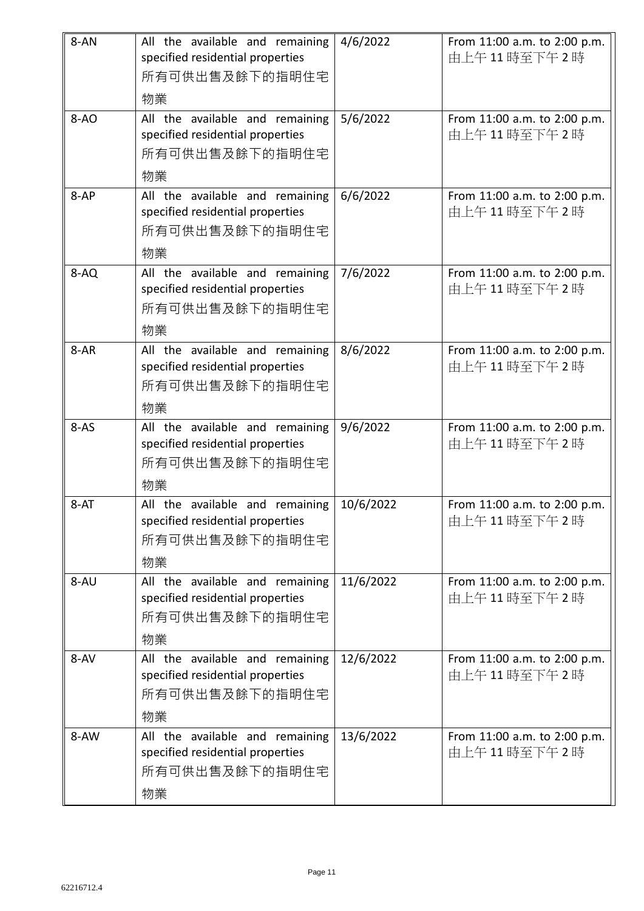| 8-AN   | All the available and remaining<br>specified residential properties<br>所有可供出售及餘下的指明住宅<br>物業 | 4/6/2022  | From 11:00 a.m. to 2:00 p.m.<br>由上午11時至下午2時 |
|--------|---------------------------------------------------------------------------------------------|-----------|---------------------------------------------|
| $8-AO$ | All the available and remaining<br>specified residential properties<br>所有可供出售及餘下的指明住宅<br>物業 | 5/6/2022  | From 11:00 a.m. to 2:00 p.m.<br>由上午11時至下午2時 |
| 8-AP   | All the available and remaining<br>specified residential properties<br>所有可供出售及餘下的指明住宅<br>物業 | 6/6/2022  | From 11:00 a.m. to 2:00 p.m.<br>由上午11時至下午2時 |
| 8-AQ   | All the available and remaining<br>specified residential properties<br>所有可供出售及餘下的指明住宅<br>物業 | 7/6/2022  | From 11:00 a.m. to 2:00 p.m.<br>由上午11時至下午2時 |
| $8-AR$ | All the available and remaining<br>specified residential properties<br>所有可供出售及餘下的指明住宅<br>物業 | 8/6/2022  | From 11:00 a.m. to 2:00 p.m.<br>由上午11時至下午2時 |
| $8-AS$ | All the available and remaining<br>specified residential properties<br>所有可供出售及餘下的指明住宅<br>物業 | 9/6/2022  | From 11:00 a.m. to 2:00 p.m.<br>由上午11時至下午2時 |
| 8-AT   | All the available and remaining<br>specified residential properties<br>所有可供出售及餘下的指明住宅<br>物業 | 10/6/2022 | From 11:00 a.m. to 2:00 p.m.<br>由上午11時至下午2時 |
| 8-AU   | All the available and remaining<br>specified residential properties<br>所有可供出售及餘下的指明住宅<br>物業 | 11/6/2022 | From 11:00 a.m. to 2:00 p.m.<br>由上午11時至下午2時 |
| 8-AV   | All the available and remaining<br>specified residential properties<br>所有可供出售及餘下的指明住宅<br>物業 | 12/6/2022 | From 11:00 a.m. to 2:00 p.m.<br>由上午11時至下午2時 |
| 8-AW   | All the available and remaining<br>specified residential properties<br>所有可供出售及餘下的指明住宅<br>物業 | 13/6/2022 | From 11:00 a.m. to 2:00 p.m.<br>由上午11時至下午2時 |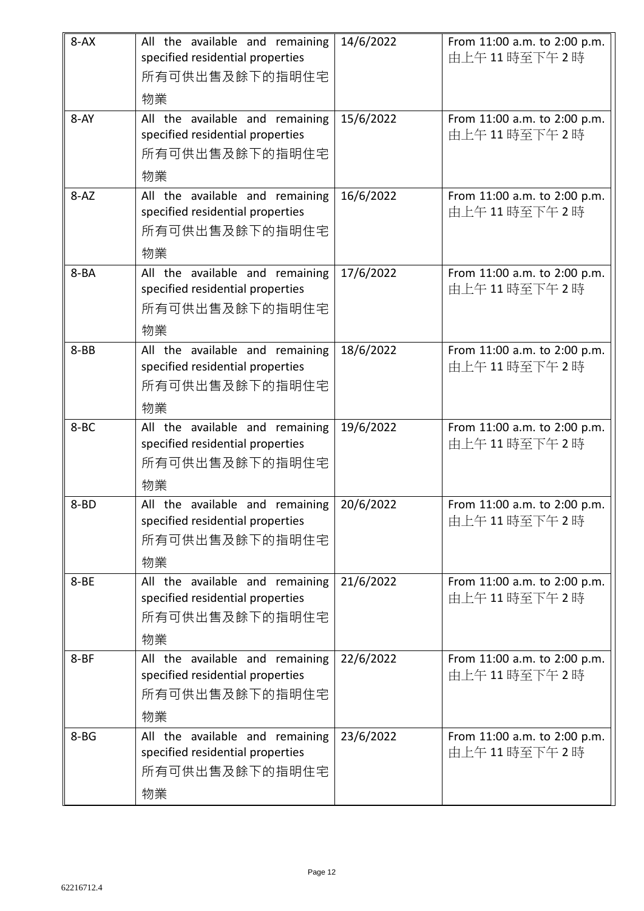| $8 - AX$ | All the available and remaining<br>specified residential properties<br>所有可供出售及餘下的指明住宅<br>物業 | 14/6/2022 | From 11:00 a.m. to 2:00 p.m.<br>由上午11時至下午2時 |
|----------|---------------------------------------------------------------------------------------------|-----------|---------------------------------------------|
| 8-AY     | All the available and remaining<br>specified residential properties<br>所有可供出售及餘下的指明住宅<br>物業 | 15/6/2022 | From 11:00 a.m. to 2:00 p.m.<br>由上午11時至下午2時 |
| $8 - AZ$ | All the available and remaining<br>specified residential properties<br>所有可供出售及餘下的指明住宅<br>物業 | 16/6/2022 | From 11:00 a.m. to 2:00 p.m.<br>由上午11時至下午2時 |
| 8-BA     | All the available and remaining<br>specified residential properties<br>所有可供出售及餘下的指明住宅<br>物業 | 17/6/2022 | From 11:00 a.m. to 2:00 p.m.<br>由上午11時至下午2時 |
| $8 - BB$ | All the available and remaining<br>specified residential properties<br>所有可供出售及餘下的指明住宅<br>物業 | 18/6/2022 | From 11:00 a.m. to 2:00 p.m.<br>由上午11時至下午2時 |
| 8-BC     | All the available and remaining<br>specified residential properties<br>所有可供出售及餘下的指明住宅<br>物業 | 19/6/2022 | From 11:00 a.m. to 2:00 p.m.<br>由上午11時至下午2時 |
| $8 - BD$ | All the available and remaining<br>specified residential properties<br>所有可供出售及餘下的指明住宅<br>物業 | 20/6/2022 | From 11:00 a.m. to 2:00 p.m.<br>由上午11時至下午2時 |
| 8-BE     | All the available and remaining<br>specified residential properties<br>所有可供出售及餘下的指明住宅<br>物業 | 21/6/2022 | From 11:00 a.m. to 2:00 p.m.<br>由上午11時至下午2時 |
| $8 - BF$ | All the available and remaining<br>specified residential properties<br>所有可供出售及餘下的指明住宅<br>物業 | 22/6/2022 | From 11:00 a.m. to 2:00 p.m.<br>由上午11時至下午2時 |
| $8 - BG$ | All the available and remaining<br>specified residential properties<br>所有可供出售及餘下的指明住宅<br>物業 | 23/6/2022 | From 11:00 a.m. to 2:00 p.m.<br>由上午11時至下午2時 |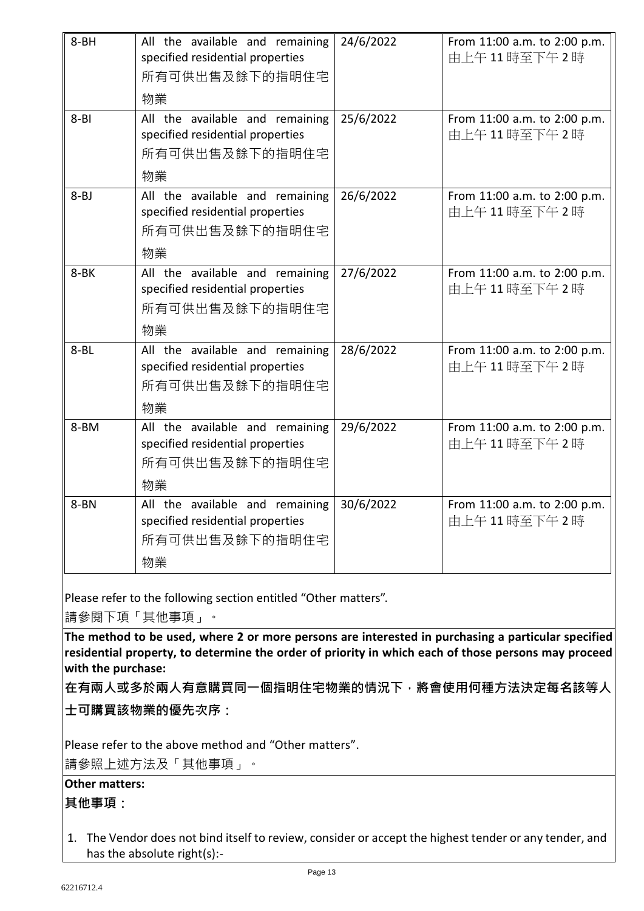| $8 - BH$<br>$8 - B1$ | All the available and remaining<br>specified residential properties<br>所有可供出售及餘下的指明住宅<br>物業<br>All the available and remaining<br>specified residential properties<br>所有可供出售及餘下的指明住宅 | 24/6/2022<br>25/6/2022 | From 11:00 a.m. to 2:00 p.m.<br>由上午11時至下午2時<br>From 11:00 a.m. to 2:00 p.m.<br>由上午11時至下午2時 |
|----------------------|--------------------------------------------------------------------------------------------------------------------------------------------------------------------------------------|------------------------|--------------------------------------------------------------------------------------------|
|                      | 物業                                                                                                                                                                                   |                        |                                                                                            |
| $8 - BJ$             | All the available and remaining<br>specified residential properties<br>所有可供出售及餘下的指明住宅<br>物業                                                                                          | 26/6/2022              | From 11:00 a.m. to 2:00 p.m.<br>由上午11時至下午2時                                                |
| 8-BK                 | All the available and remaining<br>specified residential properties<br>所有可供出售及餘下的指明住宅<br>物業                                                                                          | 27/6/2022              | From 11:00 a.m. to 2:00 p.m.<br>由上午11時至下午2時                                                |
| $8 - BL$             | All the available and remaining<br>specified residential properties<br>所有可供出售及餘下的指明住宅<br>物業                                                                                          | 28/6/2022              | From 11:00 a.m. to 2:00 p.m.<br>由上午11時至下午2時                                                |
| 8-BM                 | All the available and remaining<br>specified residential properties<br>所有可供出售及餘下的指明住宅<br>物業                                                                                          | 29/6/2022              | From 11:00 a.m. to 2:00 p.m.<br>由上午11時至下午2時                                                |
| 8-BN                 | All the available and remaining<br>specified residential properties<br>所有可供出售及餘下的指明住宅<br>物業                                                                                          | 30/6/2022              | From 11:00 a.m. to 2:00 p.m.<br>由上午11時至下午2時                                                |

Please refer to the following section entitled "Other matters".

請參閱下項「其他事項」。

**The method to be used, where 2 or more persons are interested in purchasing a particular specified residential property, to determine the order of priority in which each of those persons may proceed with the purchase:**

**在有兩人或多於兩人有意購買同一個指明住宅物業的情況下,將會使用何種方法決定每名該等人 士可購買該物業的優先次序:**

Please refer to the above method and "Other matters".

請參照上述方法及「其他事項」。

## **Other matters:**

## **其他事項:**

1. The Vendor does not bind itself to review, consider or accept the highest tender or any tender, and has the absolute right(s):-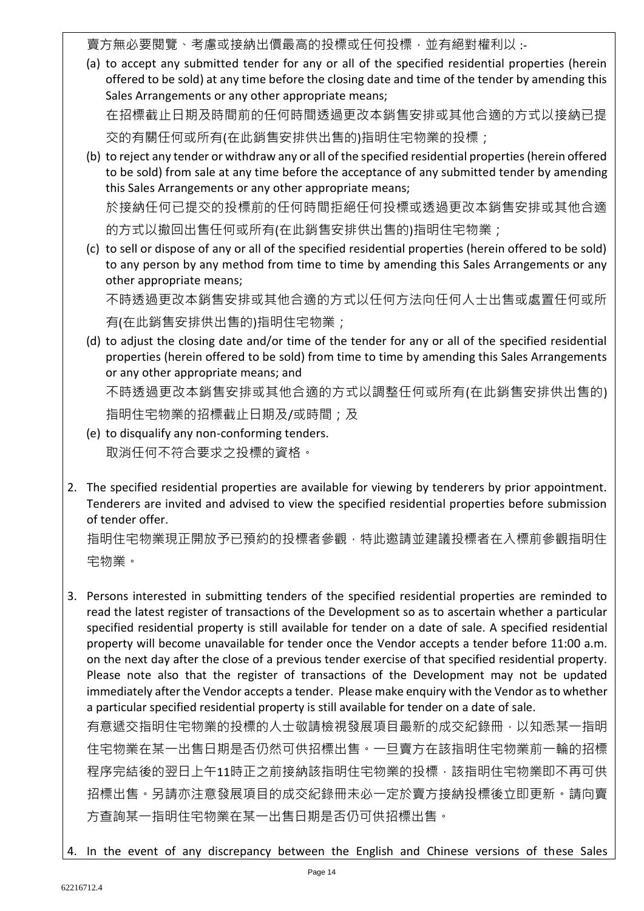賣方無必要閱覽、考慮或接納出價最高的投標或任何投標,並有絕對權利以:

(a) to accept any submitted tender for any or all of the specified residential properties (herein offered to be sold) at any time before the closing date and time of the tender by amending this Sales Arrangements or any other appropriate means;

在招標截止日期及時間前的任何時間透過更改本銷售安排或其他合適的方式以接納已提 交的有關任何或所有(在此銷售安排供出售的)指明住宅物業的投標;

(b) to reject any tender or withdraw any or all of the specified residential properties (herein offered to be sold) from sale at any time before the acceptance of any submitted tender by amending this Sales Arrangements or any other appropriate means; 於接納任何已提交的投標前的任何時間拒絕任何投標或透過更改本銷售安排或其他合適

的方式以撤回出售任何或所有(在此銷售安排供出售的)指明住宅物業;

(c) to sell or dispose of any or all of the specified residential properties (herein offered to be sold) to any person by any method from time to time by amending this Sales Arrangements or any other appropriate means;

不時透過更改本銷售安排或其他合適的方式以任何方法向任何人士出售或處置任何或所 有(在此銷售安排供出售的)指明住宅物業;

(d) to adjust the closing date and/or time of the tender for any or all of the specified residential properties (herein offered to be sold) from time to time by amending this Sales Arrangements or any other appropriate means; and 不時透過更改本銷售安排或其他合適的方式以調整任何或所有(在此銷售安排供出售的)

指明住宅物業的招標截止日期及/或時間;及

- (e) to disqualify any non-conforming tenders. 取消任何不符合要求之投標的資格。
- 2. The specified residential properties are available for viewing by tenderers by prior appointment. Tenderers are invited and advised to view the specified residential properties before submission of tender offer.

指明住宅物業現正開放予已預約的投標者參觀,特此邀請並建議投標者在入標前參觀指明住 宅物業。

3. Persons interested in submitting tenders of the specified residential properties are reminded to read the latest register of transactions of the Development so as to ascertain whether a particular specified residential property is still available for tender on a date of sale. A specified residential property will become unavailable for tender once the Vendor accepts a tender before 11:00 a.m. on the next day after the close of a previous tender exercise of that specified residential property. Please note also that the register of transactions of the Development may not be updated immediately after the Vendor accepts a tender. Please make enquiry with the Vendor as to whether a particular specified residential property is still available for tender on a date of sale. 有意遞交指明住宅物業的投標的人士敬請檢視發展項目最新的成交紀錄冊,以知悉某一指明

住宅物業在某一出售日期是否仍然可供招標出售。一旦賣方在該指明住宅物業前一輪的招標 程序完結後的翌日上午11時正之前接納該指明住宅物業的投標,該指明住宅物業即不再可供 招標出售。另請亦注意發展項目的成交紀錄冊未必一定於賣方接納投標後立即更新。請向賣 方查詢某一指明住宅物業在某一出售日期是否仍可供招標出售。

4. In the event of any discrepancy between the English and Chinese versions of these Sales